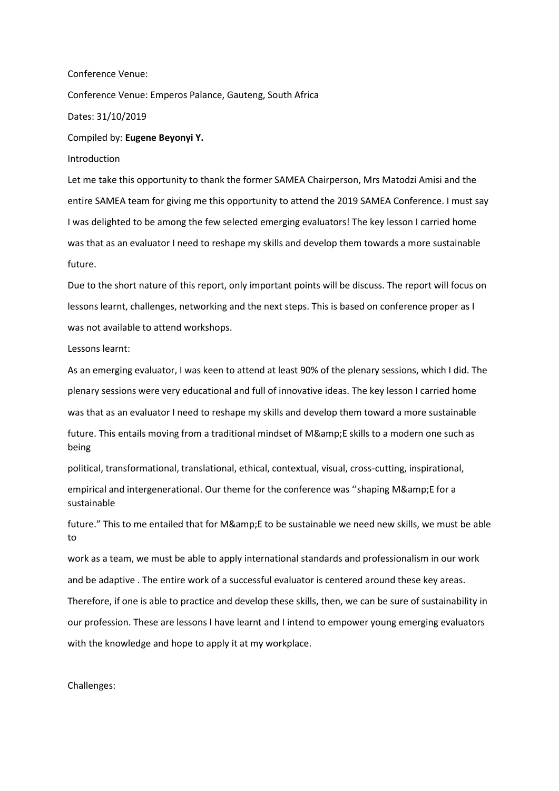Conference Venue: Conference Venue: Emperos Palance, Gauteng, South Africa Dates: 31/10/2019 Compiled by: **Eugene Beyonyi Y.** Introduction

Let me take this opportunity to thank the former SAMEA Chairperson, Mrs Matodzi Amisi and the entire SAMEA team for giving me this opportunity to attend the 2019 SAMEA Conference. I must say I was delighted to be among the few selected emerging evaluators! The key lesson I carried home was that as an evaluator I need to reshape my skills and develop them towards a more sustainable future.

Due to the short nature of this report, only important points will be discuss. The report will focus on lessons learnt, challenges, networking and the next steps. This is based on conference proper as I was not available to attend workshops.

Lessons learnt:

As an emerging evaluator, I was keen to attend at least 90% of the plenary sessions, which I did. The plenary sessions were very educational and full of innovative ideas. The key lesson I carried home was that as an evaluator I need to reshape my skills and develop them toward a more sustainable future. This entails moving from a traditional mindset of M&E skills to a modern one such as

being

political, transformational, translational, ethical, contextual, visual, cross-cutting, inspirational,

empirical and intergenerational. Our theme for the conference was "shaping M&E for a sustainable

future." This to me entailed that for M& E to be sustainable we need new skills, we must be able to

work as a team, we must be able to apply international standards and professionalism in our work and be adaptive . The entire work of a successful evaluator is centered around these key areas. Therefore, if one is able to practice and develop these skills, then, we can be sure of sustainability in our profession. These are lessons I have learnt and I intend to empower young emerging evaluators with the knowledge and hope to apply it at my workplace.

Challenges: